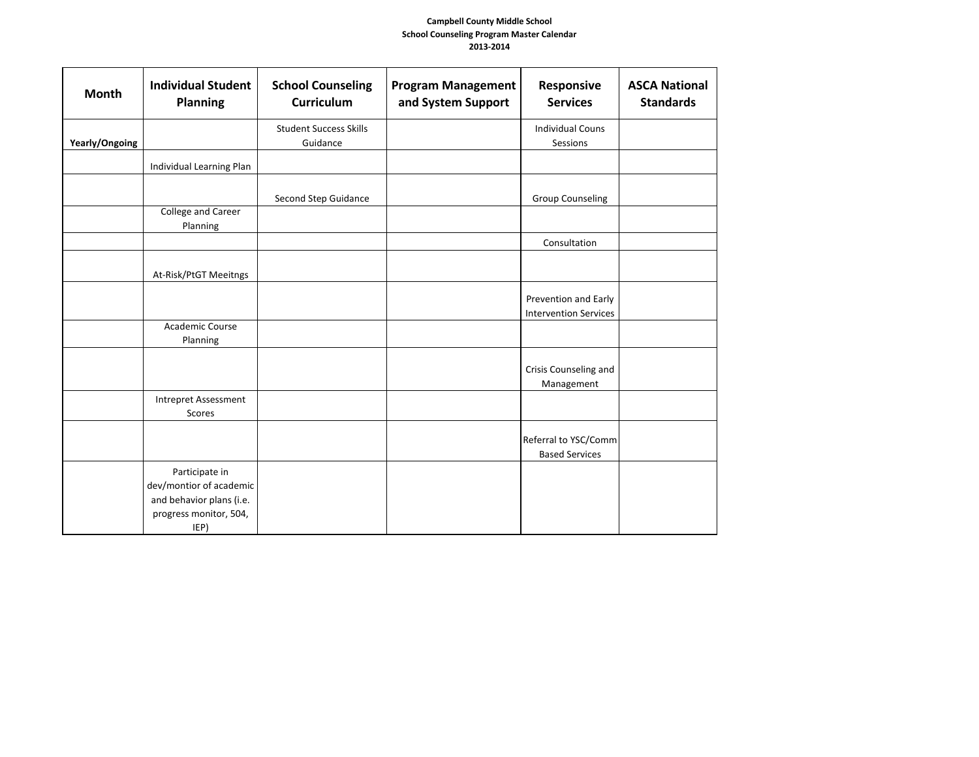| <b>Month</b>   | <b>Individual Student</b><br><b>Planning</b>                                                            | <b>School Counseling</b><br><b>Curriculum</b> | <b>Program Management</b><br>and System Support | Responsive<br><b>Services</b>                        | <b>ASCA National</b><br><b>Standards</b> |
|----------------|---------------------------------------------------------------------------------------------------------|-----------------------------------------------|-------------------------------------------------|------------------------------------------------------|------------------------------------------|
| Yearly/Ongoing |                                                                                                         | <b>Student Success Skills</b><br>Guidance     |                                                 | <b>Individual Couns</b><br>Sessions                  |                                          |
|                | Individual Learning Plan                                                                                |                                               |                                                 |                                                      |                                          |
|                |                                                                                                         | Second Step Guidance                          |                                                 | <b>Group Counseling</b>                              |                                          |
|                | <b>College and Career</b><br>Planning                                                                   |                                               |                                                 |                                                      |                                          |
|                |                                                                                                         |                                               |                                                 | Consultation                                         |                                          |
|                | At-Risk/PtGT Meeitngs                                                                                   |                                               |                                                 |                                                      |                                          |
|                |                                                                                                         |                                               |                                                 | Prevention and Early<br><b>Intervention Services</b> |                                          |
|                | Academic Course<br>Planning                                                                             |                                               |                                                 |                                                      |                                          |
|                |                                                                                                         |                                               |                                                 | Crisis Counseling and<br>Management                  |                                          |
|                | <b>Intrepret Assessment</b><br>Scores                                                                   |                                               |                                                 |                                                      |                                          |
|                |                                                                                                         |                                               |                                                 | Referral to YSC/Comm<br><b>Based Services</b>        |                                          |
|                | Participate in<br>dev/montior of academic<br>and behavior plans (i.e.<br>progress monitor, 504,<br>IEP) |                                               |                                                 |                                                      |                                          |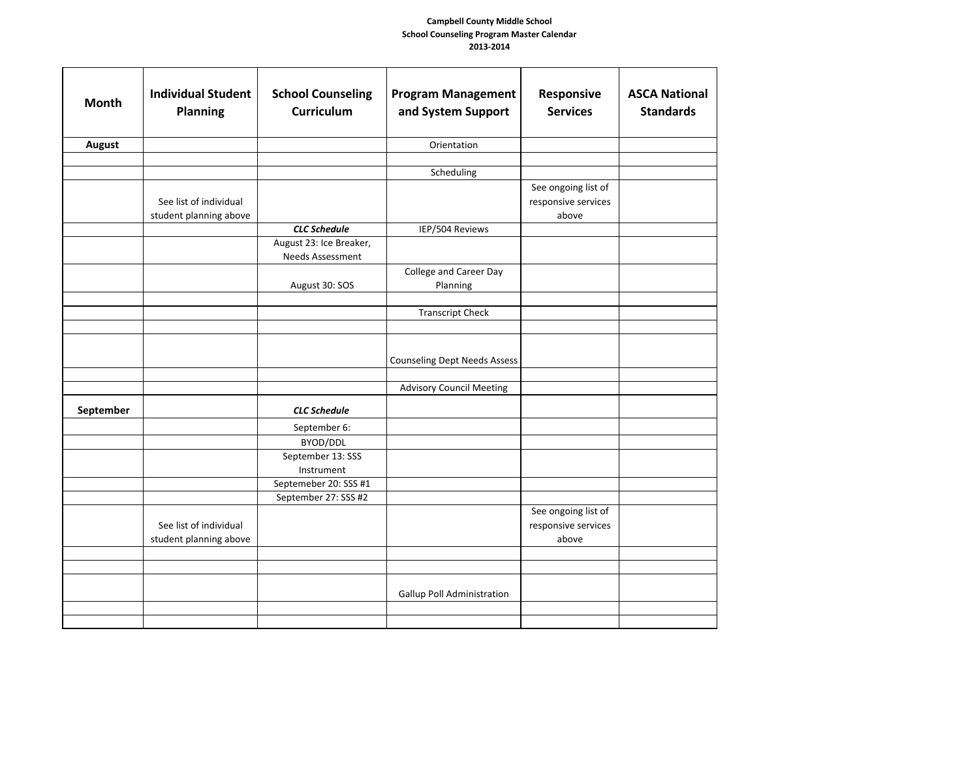| <b>Month</b> | <b>Individual Student</b><br>Planning            | <b>School Counseling</b><br><b>Curriculum</b> | <b>Program Management</b><br>and System Support | Responsive<br><b>Services</b>                       | <b>ASCA National</b><br><b>Standards</b> |
|--------------|--------------------------------------------------|-----------------------------------------------|-------------------------------------------------|-----------------------------------------------------|------------------------------------------|
| August       |                                                  |                                               | Orientation                                     |                                                     |                                          |
|              |                                                  |                                               |                                                 |                                                     |                                          |
|              |                                                  |                                               | Scheduling                                      |                                                     |                                          |
|              | See list of individual<br>student planning above |                                               |                                                 | See ongoing list of<br>responsive services<br>above |                                          |
|              |                                                  | <b>CLC Schedule</b>                           | IEP/504 Reviews                                 |                                                     |                                          |
|              |                                                  | August 23: Ice Breaker,<br>Needs Assessment   |                                                 |                                                     |                                          |
|              |                                                  | August 30: SOS                                | College and Career Day<br>Planning              |                                                     |                                          |
|              |                                                  |                                               | <b>Transcript Check</b>                         |                                                     |                                          |
|              |                                                  |                                               |                                                 |                                                     |                                          |
|              |                                                  |                                               | <b>Counseling Dept Needs Assess</b>             |                                                     |                                          |
|              |                                                  |                                               | <b>Advisory Council Meeting</b>                 |                                                     |                                          |
| September    |                                                  | <b>CLC Schedule</b>                           |                                                 |                                                     |                                          |
|              |                                                  | September 6:                                  |                                                 |                                                     |                                          |
|              |                                                  | BYOD/DDL                                      |                                                 |                                                     |                                          |
|              |                                                  | September 13: SSS<br>Instrument               |                                                 |                                                     |                                          |
|              |                                                  | Septemeber 20: SSS #1                         |                                                 |                                                     |                                          |
|              |                                                  | September 27: SSS #2                          |                                                 |                                                     |                                          |
|              | See list of individual<br>student planning above |                                               |                                                 | See ongoing list of<br>responsive services<br>above |                                          |
|              |                                                  |                                               |                                                 |                                                     |                                          |
|              |                                                  |                                               |                                                 |                                                     |                                          |
|              |                                                  |                                               | <b>Gallup Poll Administration</b>               |                                                     |                                          |
|              |                                                  |                                               |                                                 |                                                     |                                          |
|              |                                                  |                                               |                                                 |                                                     |                                          |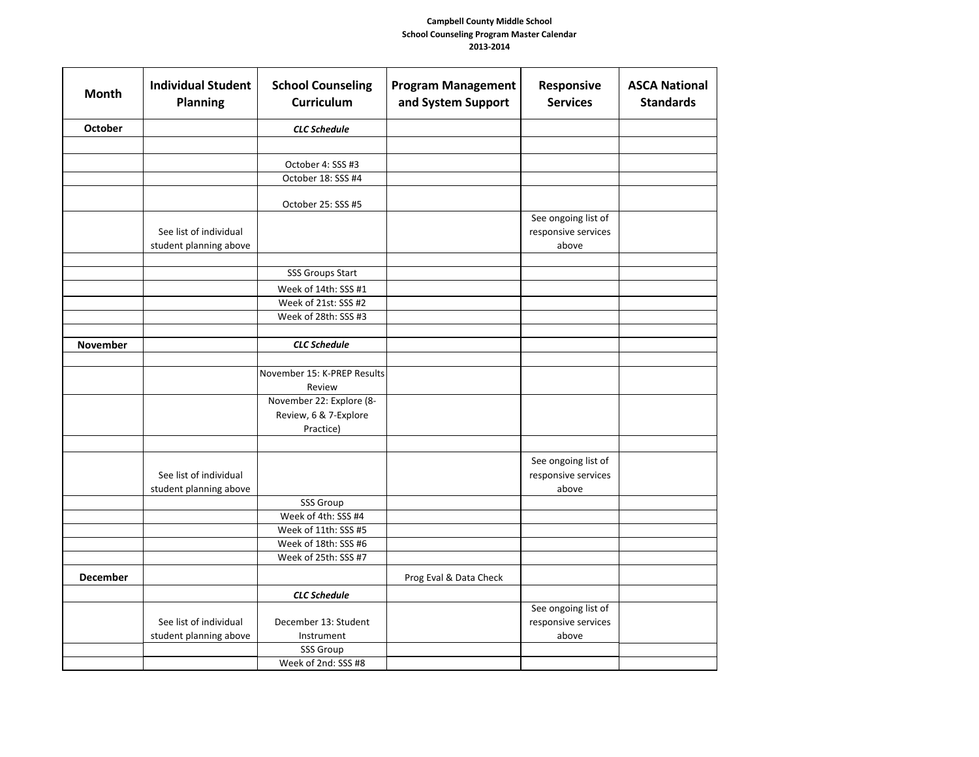| <b>Month</b>    | <b>Individual Student</b><br><b>Planning</b>     | <b>School Counseling</b><br>Curriculum                         | <b>Program Management</b><br>and System Support | Responsive<br><b>Services</b>                       | <b>ASCA National</b><br><b>Standards</b> |
|-----------------|--------------------------------------------------|----------------------------------------------------------------|-------------------------------------------------|-----------------------------------------------------|------------------------------------------|
| <b>October</b>  |                                                  | <b>CLC</b> Schedule                                            |                                                 |                                                     |                                          |
|                 |                                                  |                                                                |                                                 |                                                     |                                          |
|                 |                                                  | October 4: SSS #3                                              |                                                 |                                                     |                                          |
|                 |                                                  | October 18: SSS #4                                             |                                                 |                                                     |                                          |
|                 |                                                  | October 25: SSS #5                                             |                                                 |                                                     |                                          |
|                 | See list of individual<br>student planning above |                                                                |                                                 | See ongoing list of<br>responsive services<br>above |                                          |
|                 |                                                  |                                                                |                                                 |                                                     |                                          |
|                 |                                                  | <b>SSS Groups Start</b>                                        |                                                 |                                                     |                                          |
|                 |                                                  | Week of 14th: SSS #1                                           |                                                 |                                                     |                                          |
|                 |                                                  | Week of 21st: SSS #2                                           |                                                 |                                                     |                                          |
|                 |                                                  | Week of 28th: SSS #3                                           |                                                 |                                                     |                                          |
| November        |                                                  | <b>CLC</b> Schedule                                            |                                                 |                                                     |                                          |
|                 |                                                  |                                                                |                                                 |                                                     |                                          |
|                 |                                                  | November 15: K-PREP Results<br>Review                          |                                                 |                                                     |                                          |
|                 |                                                  | November 22: Explore (8-<br>Review, 6 & 7-Explore<br>Practice) |                                                 |                                                     |                                          |
|                 |                                                  |                                                                |                                                 |                                                     |                                          |
|                 | See list of individual<br>student planning above |                                                                |                                                 | See ongoing list of<br>responsive services<br>above |                                          |
|                 |                                                  | SSS Group                                                      |                                                 |                                                     |                                          |
|                 |                                                  | Week of 4th: SSS #4                                            |                                                 |                                                     |                                          |
|                 |                                                  | Week of 11th: SSS #5                                           |                                                 |                                                     |                                          |
|                 |                                                  | Week of 18th: SSS #6                                           |                                                 |                                                     |                                          |
|                 |                                                  | Week of 25th: SSS #7                                           |                                                 |                                                     |                                          |
| <b>December</b> |                                                  |                                                                | Prog Eval & Data Check                          |                                                     |                                          |
|                 |                                                  | <b>CLC Schedule</b>                                            |                                                 |                                                     |                                          |
|                 | See list of individual<br>student planning above | December 13: Student<br>Instrument                             |                                                 | See ongoing list of<br>responsive services<br>above |                                          |
|                 |                                                  | <b>SSS Group</b>                                               |                                                 |                                                     |                                          |
|                 |                                                  | Week of 2nd: SSS #8                                            |                                                 |                                                     |                                          |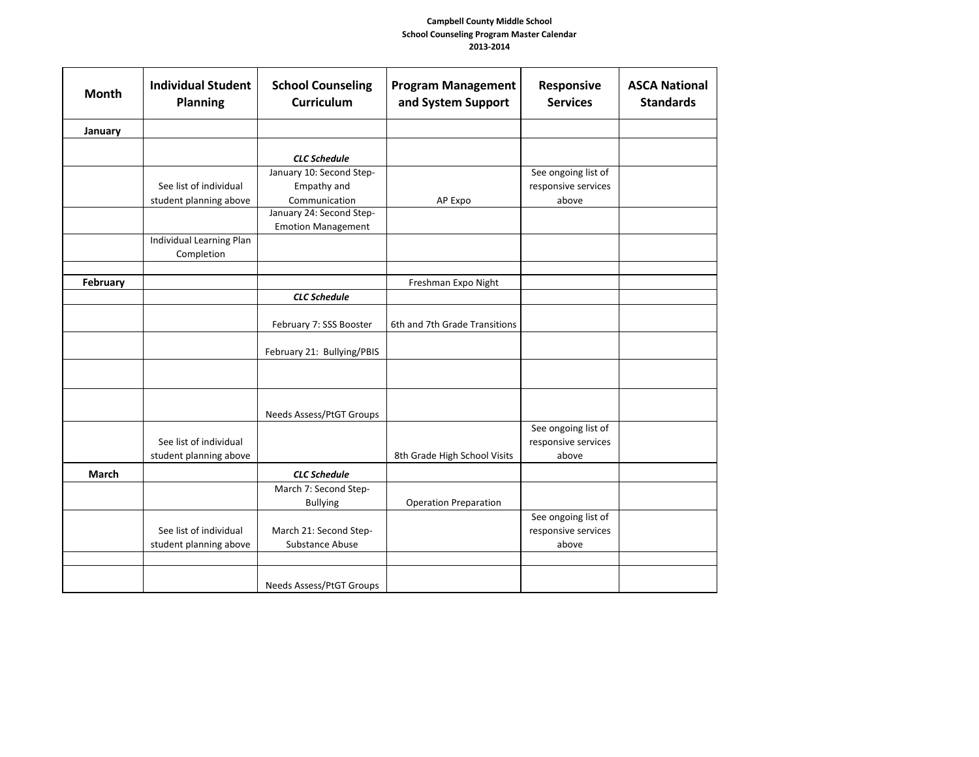| <b>Month</b> | <b>Individual Student</b><br><b>Planning</b> | <b>School Counseling</b><br><b>Curriculum</b> | <b>Program Management</b><br>and System Support | Responsive<br><b>Services</b> | <b>ASCA National</b><br><b>Standards</b> |
|--------------|----------------------------------------------|-----------------------------------------------|-------------------------------------------------|-------------------------------|------------------------------------------|
| January      |                                              |                                               |                                                 |                               |                                          |
|              |                                              |                                               |                                                 |                               |                                          |
|              |                                              | <b>CLC</b> Schedule                           |                                                 |                               |                                          |
|              |                                              | January 10: Second Step-                      |                                                 | See ongoing list of           |                                          |
|              | See list of individual                       | Empathy and                                   |                                                 | responsive services           |                                          |
|              | student planning above                       | Communication                                 | AP Expo                                         | above                         |                                          |
|              |                                              | January 24: Second Step-                      |                                                 |                               |                                          |
|              | Individual Learning Plan                     | <b>Emotion Management</b>                     |                                                 |                               |                                          |
|              | Completion                                   |                                               |                                                 |                               |                                          |
|              |                                              |                                               |                                                 |                               |                                          |
| February     |                                              |                                               | Freshman Expo Night                             |                               |                                          |
|              |                                              | <b>CLC Schedule</b>                           |                                                 |                               |                                          |
|              |                                              |                                               |                                                 |                               |                                          |
|              |                                              | February 7: SSS Booster                       | 6th and 7th Grade Transitions                   |                               |                                          |
|              |                                              | February 21: Bullying/PBIS                    |                                                 |                               |                                          |
|              |                                              |                                               |                                                 |                               |                                          |
|              |                                              | Needs Assess/PtGT Groups                      |                                                 |                               |                                          |
|              |                                              |                                               |                                                 | See ongoing list of           |                                          |
|              | See list of individual                       |                                               |                                                 | responsive services           |                                          |
|              | student planning above                       |                                               | 8th Grade High School Visits                    | above                         |                                          |
| <b>March</b> |                                              | <b>CLC Schedule</b>                           |                                                 |                               |                                          |
|              |                                              | March 7: Second Step-                         |                                                 |                               |                                          |
|              |                                              | <b>Bullying</b>                               | <b>Operation Preparation</b>                    |                               |                                          |
|              |                                              |                                               |                                                 | See ongoing list of           |                                          |
|              | See list of individual                       | March 21: Second Step-                        |                                                 | responsive services           |                                          |
|              | student planning above                       | Substance Abuse                               |                                                 | above                         |                                          |
|              |                                              |                                               |                                                 |                               |                                          |
|              |                                              | Needs Assess/PtGT Groups                      |                                                 |                               |                                          |